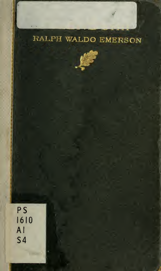## RALPH WALDO EMERSON

PS 1610  $AI$  $S<sub>4</sub>$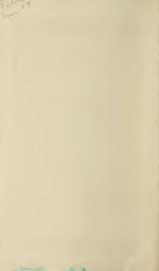

s

×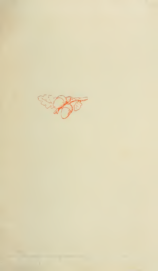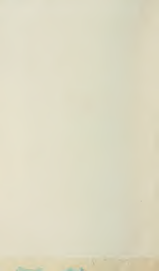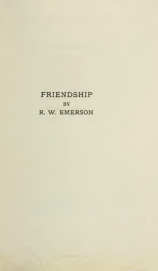## FRIENDSHIP

BY

R. W. EMERSON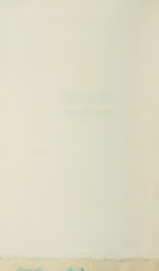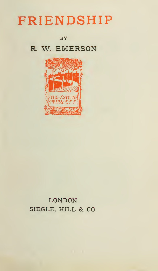# FRIENDSHIP

BY

R. W. EMERSON



## LONDON SIEGLE, HILL & CO.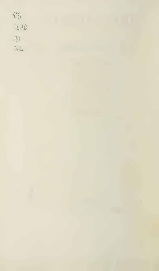PS1610  $AI$  $54$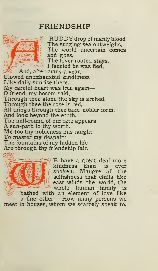### FRIENDSHIP

RUDDY drop of manly blood

The surging sea outweighs, The world uncertain comes and goes, The lover rooted stays. <sup>I</sup> fancied he was fled, And, after many a year, Glowed unexhausted kindliness Like daily sunrise there. My careful heart was free again O friend, my bosom said, Through thee alone the sky is arched, Through thee the rose is red. All things through thee take nobler form, And look beyond the earth, The mill-round of our fate appears A sun-path in thy worth. Me too thy nobleness has taught<br>To master my despair ; The fountains of my hidden life<br>Are through thy friendship fair.



E have a great deal more<br>kindness than is ever kindness than is ever spoken. Maugre all the selfishness that chills like east winds the world, the<br>whole human family is whole human

bathed with an element of love like <sup>a</sup> fine ether. How many persons we meet in houses, whom we scarcely speak to,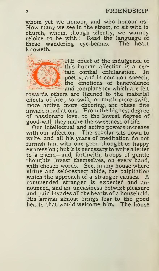whom yet we honour, and who honour us! How many we see in the street, or sit with in church, whom, though silently, we warmly rejoice to be with! Read the language of<br>these wandering eve-beams. The heart these wandering eye-beams. knoweth.



HE effect of the indulgence of this human affection is a certain cordial exhilaration. In poetry, and in common speech, the emotions of benevolence and complacency which are felt

towards others are likened to the material effects of fire; so swift, or much more swift, more active, more cheering, are these fine inward irradiations. From the highest degree of passionate love, to the lowest degree of good-will, they make the sweetness of life.

Our intellectual and active powers increase with our affection. The scholar sits down to write, and all his years of meditation do not furnish him with one good thought or happy expression ; but it is necessary to write a letter to <sup>a</sup> friend—and, forthwith, troops of gentle thoughts invest themselves, on every hand, with chosen words. See, in any house where virtue and self-respect abide, the palpitation which the approach of a stranger causes. A commended stranger is expected and an nounced, and an uneasiness betwixt pleasure and pain invades all the hearts of a household. His arrival almost brings fear to the good hearts that would welcome him. The house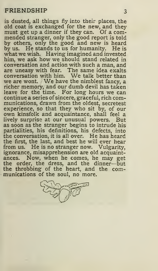is dusted, all things fly into their places, the old coat is exchanged for the new, and they must get up a dinner if they can. Of a commended stranger, only the good report is told by others, only the good and new is heard<br>by us. He stands to us for humanity. He is what we wish. Having imagined and invested him, we ask how we should stand related in conversation and action with such a man, and are uneasy with fear. The same idea exalts conversation with him. We talk better than we are wont. We have the nimblest fancy, a richer memory, and our dumb devil has taken leave for the time. For long hours we can continue a series of sincere, graceful, rich communications, drawn from the oldest, secretest own kinsfolk and acquaintance, shall feel a lively surprise at our unusual powers. But as soon as the stranger begins to intrude his partialities, his definitions, his defects, into the conversation, it is all over. He has heard the first, the last, and best he will ever hear from us. He is no stranger now. Vulgarity, ignorance, misapprehension are old acquaintances. Now, when he comes, he may get the order, the dress, and the dinner—but the throbbing of the heart, and the communications of the soul, no more.

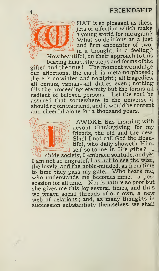HAT is so pleasant as these iets of affection which make a young world for me again ?<br>What so delicious as a just and firm encounter of two,<br>in a thought, in a feeling?

How beautiful, on their approach to this beating heart, the steps and forms of the gifted and the true ! The moment we indulge our affections, the earth is metamorphosed; there is no winter, and no night ; all tragedies, all ennuis, vanish—all duties even ; nothing fills the proceeding eternity but the forms all radiant of beloved persons. Let the soul be assured that somewhere in the universe it should rejoin its friend, and it would be content and cheerful alone for a thousand years.



/

AWOKE this morning with devout thanksgiving for my friends, the old and the new. Shall <sup>I</sup> not call God the Beau tiful, who daily showeth Him-<br>self so to me in His gifts? I

chide society, I embrace solitude, and yet <sup>I</sup> am not so ungrateful as not to see the wise, the lovely, and the noble-minded, as from time to time they pass my gate. Who hears me, who understands me, becomes mine,—a possession for all time. Nor is nature so poor but she gives me this joy several times, and thus we weave social threads of our own, <sup>a</sup> new web of relations; and, as many thoughts in succession substantiate themselves, we shall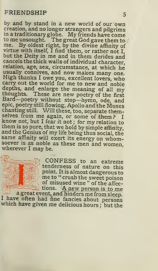by and by stand in a new world of our own creation, and no longer strangers and pilgrims in a traditionary globe. My friends have come<br>to me unsought. The great God gave them to  $\sqrt{ }$ me. By oldest right, by the divine affinity of virtue with itself, I find them, or rather not I, but the Deity in me and in them derides and cancels the thick walls of individual character, relation, age, sex, circumstance, at which he High thanks I owe you, excellent lovers, who carry out the world for me to new and noble depths, and enlarge the meaning of all my<br>thoughts. These are new poetry of the first Bard—poetry without stop—hymn, ode, and epic, poetry still flowing, Apollo and the Muses chanting still. Will these, too, separate them-<br>selves from me again, or some of them? I know not, but I fear it not; for my relation to them is so pure, that we hold by simple affinity, and the Genius of my life being thus social, the same affinity will exert its energy on whomsoever is as noble as these men and women, wherever <sup>I</sup> may be.

> CONFESS to an extreme point. It is almost dangerous to me to " crush the sweet poison of misused wine" of the affec-<br>tions. 'A new person is to me

 $\Box$  a great event, and hinders me from sleep.<br>I have often had fine fancies about persons which have given me delicious hours; but the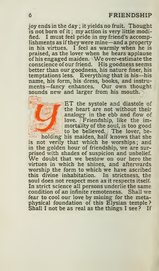### 6 FRIENDSHIP

joy ends in the day ; it yields no fruit. Thought is not born of it ; my action is very little modified. <sup>I</sup> must feel pride in my friend's accomplishments as if they were mine—and <sup>a</sup> property in his virtues. <sup>I</sup> feel as warmly when he is praised, as the lover when he hears applause of his engaged maiden. We over-estimate the conscience of our friend. His goodness seems better than our goodness, his nature finer, his temptations less. Everything that is his—his name, his form, his dress, books, and instruments—fancy enhances. Our own thought sounds new and larger from his mouth.



ET the systole and diastole of the heart are not without their analogy in the ebb and flow of love. / Friendship, like the immortality of the soul, is too good to be believed. The lover, be-

holding his maiden, half knows that she is not verily that which he worships; and in the golden hour of friendship, we are sur prised with shades of suspicion and unbelief. We doubt that we bestow on our hero the virtues in which he shines, and afterwards worship the form to which we have ascribed this divine inhabitation. In strictness, the soul does not respect men as it respects itself. In strict science all persons underlie the same condition of an infinite remoteness. Shall we fear to cool our love by mining for the metaphysical foundation of this Elysian teniple ? Shall I not be as real as the things I see? If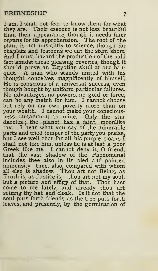<sup>I</sup> am, <sup>I</sup> shall not fear to know them for what they are. Their essence is not less beautiful than their appearance, though it needs finer organs for its apprehension. The root of the plant is not unsightly to science, though for chaplets and festoons we cut the stem short. And <sup>I</sup> must hazard the production of the bald fact amidst these pleasing reveries, though itshould prove an Egyptian skull at our banquet. A man who stands united with his thought conceives magnificently of himself.<br>He is conscious of a universal success, even though bought by uniform particular failures. No advantages, no powers, no gold or force, can be any match for him. <sup>I</sup> cannot choose but rely on my own poverty more than on your wealth. <sup>I</sup> cannot make your conscious ness tantamount to mine. Only the star dazzles ; the planet has a faint, moonlike ray. <sup>I</sup> hear what you say of the admirable parts and tried temper of the party you praise, but <sup>I</sup> see well that for all his purple cloaks <sup>I</sup> shall not like him, unless he is at last a poor Greek like me. <sup>I</sup> cannot deny it, O friend, that the vast shadow of the Phenomenal includes thee also in its pied and painted immensity—thee, also, compared with whom<br>all else is shadow. Thou art not Being, as Truth is, as Justice is, —thou art not my soul, but a picture and effigy of that. Thou hast come to me lately, and already thou art seizing thy hat and cloak. Is it not that the soul puts forth friends as the tree puts forth leaves, and presently, by the germination of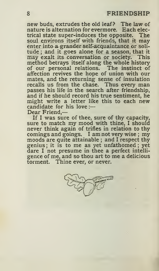new buds, extrudes the old leaf? The law of nature is alternation for evermore. Each electrical state super-induces the opposite. The soul environs itself with friends, that it may enter into a grander self-acquaintance or soli-<br>tude; and it goes alone for a season, that it may exalt its conversation or society. This method betrays itself along the whole history of our personal relations. The instinct of affection revives the hope of union with our mates, and the returning sense of insulation recalls us from the chase. Thus every man passes his life in the search after friendship, and if he should record his true sentiment, he might write a letter like this to each new candidate for his love: Dear Friend,

If <sup>I</sup> was sure of thee, sure of thy capacity, sure to match my mood with thine, <sup>I</sup> should never think again of trifles in relation to thy comings and goings. <sup>I</sup> am not very wise ; my moods are quite attainable ; and <sup>I</sup> respect thy genius ; it is to me as yet unfathomed ; yet dare <sup>I</sup> not presume in thee a perfect intelli gence of me, and so thou art to me adelicious torment. Thine ever, or never.

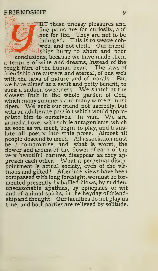FRIENDSHIP <sup>9</sup>

'ET these uneasy pleasures and fine pains are for curiosity, and not for life. They are not to be indulged. This is to weave cob web, and not cloth. Our friendships hurry to short and poor

conclusions, because we have made them a texture of wine and dreams, instead of the tough fibre of the human heart. The laws of friendship are austere and eternal, of one web with the laws of nature and of morals. But we have aimed at a swift and petty benefit, to suck <sup>a</sup> sudden sweetness. We snatch at the slowest fruit in the whole garden of God, which many summers and many winters must<br>ripen. We seek our friend not sacredly, but We seek our friend not sacredly, but with an adulterate passion which would appro-<br>priate him to ourselves. In vain. We are armed all over with subtle antagonisms, which as soon as we meet, begin to play, and translate all poetry into stale prose. Almost all people descend to meet. All association must be a compromise, and, what is worst, the flower and aroma of the flower of each of the very beautiful natures disappear as they approach each other. What a perpetual disappointment is actual society, even of the vir tuous and gifted ! After interviews have been compassed with long foresight, we must be tor mented presently by baffled blows, by sudden, unseasonable apathies, by epilepsies of wit and of animal spirits, in the heyday of friendship and thought. Our faculties do not play us true, and both parties are relieved by solitude.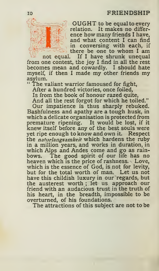

OUGHT to be equal to every relation. It makes no differ ence how many friends <sup>I</sup> have, and what content <sup>I</sup> can find in conversing with each, if there be one to whom I am

not equal. If I have shrunk unequal from one contest, the joy I find in all the rest becomes mean and cowardly. <sup>I</sup> should hate myself, if then <sup>I</sup> made my other friends my asylum.

" The valiant warrior famoused for fight,

After a hundred victories, once foiled,

Is from the book of honour razed quite. And all the rest forgot for which he toiled."

Our impatience is thus sharply rebuked. Bashfulness and apathy are a tough husk, in which a delicate organisation is protected from<br>premature ripening. It would be lost, if it knew itself before any of the best souls were yet ripe enough to know and own it. Respect the naturlangsamkeit which hardens the ruby in a million years, and works in duration, in which Alps and Andes come and go as rainbows. The good spirit of our life has no heaven which is the price of rashness.  $\small{\sim}$  Love,  $\small{\sim}$ which is the essence of God, is not for levity, but for the total worth of man. Let us not have this childish luxury in our regards, but the austerest worth ; let us approach our friend with an audacious trust in the truth of his heart, in the breadth, impossible to be overturned, of his foundations.

The attractions of this subject are not to be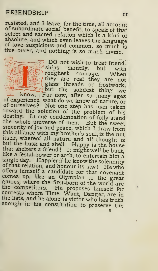### FRIENDSHIP II

resisted, and <sup>I</sup> leave, for the time, all account of subordinate social benefit, to speak of that select and sacred relation which is a kind of absolute, and which even leaves the language<br>of love suspicious and common, so much is this purer, and nothing is so much divine.

DO not wish to treat friend-<br>ships daintily, but with<br>roughest courage. When<br>they are real they are not<br>glass threads or frostwork. they are real they are not but the solidest thing we know. For now, after so many ages of experience, what do we know of nature, or

of ourselves ? Not one step has man taken toward the solution of the problem of his destiny. In one condemnation of folly stand the whole universe of men. But the sweet sincerity of joy and peace, which <sup>I</sup> draw from this alliance with my brother's soul, is the nut<br>itself, whereof all nature and all thought is but the husk and shell. Happy is the house that shelters a friend ! It might well be built like a festal bower or arch, to entertain him a single day. Happier if he know the solemnity of that relation, and honour its law ! He who offers himself a candidate for that covenant comes up, like an Olympian to the great games, where the first-born of the world are the competitors. He proposes himself for contests where Time, Want, Danger, are in the lists, and he alone is victor who has truth enough in his constitution to preserve the B

ţ.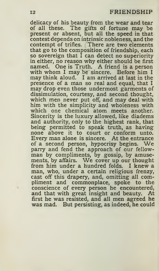delicacy of his beauty from the wear and tear of all these. The gifts of fortune may be present or absent, but all the speed in that contest depends on intrinsic nobleness, and the contempt of trifles. (There are two elements that go to the composition of friendship, each so sovereign that I can detect no superiority in either, no reason why either should be first named. One is Truth. A friend is a person with whom I may be sincere. Before him I may think aloud. I am arrived at last in the presence of a man so real and equal, that I may drop even those undermost garments of dissimulation, courtesy, and second thought, which men never put off, and may deal with him with the simplicity and wholeness with which one chemical atom meets another. Sincerity is the luxury allowed, like diadems and authority, only to the highest rank, that being permitted to speak truth, as having none above it to court or conform unto. Every man alone is sincere. At the entrance of <sup>a</sup> second person, hypocrisy begins. We parry and fend the approach of our fellowman by compliments, by gossip, by amusements, by affairs. We cover up our thought from him under a hundred folds. <sup>I</sup> knew a man, who, under a certain religious frenzy, cast off this drapery, and, omitting all compliment and commonplace, spoke to the conscience of every person he encountered, and that with great insight and beauty. At first he was resisted, and all men agreed he was mad. But persisting, as indeed, he could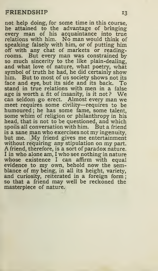not help doing, for some time in this course, he attained to the advantage of bringing every man of his acquaintance into true relations with him. No man would think of speaking falsely with him, or of putting him off with any chat of markets or reading rooms. But every man was constrained by so much sincerity to the like plain-dealing, and what love of nature, what poetry, what symbol of truth he had, he did certainly show him. But to most of us society shows not its face and eye, but its side and its back. To stand in true relations with men in a false age is worth <sup>a</sup> fit of insanity, is it not ? We can seldom go erect. Almost every man we meet requires some civility—requires to be humoured; he has some fame, some talent, some whim of religion or philanthropy in his head, that is not to be questioned, and which spoils all conversation with him. But a friend is a sane man who exercises not my ingenuity, but me. My friend gives me entertainment without requiring any stipulation on my part. A friend, therefore, is a sort of paradox nature. <sup>I</sup> in who alone am, <sup>I</sup> who see nothing in nature whose existence I can affirm with equal evidence to my own, behold now the semblance of my being, in all its height, variety, and curiosity, reiterated in a foreign form ; so that a friend may well be reckoned the masterpiece of nature.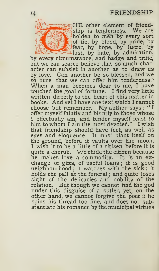

HE other element of friend-<br>ship is tenderness. We are ship is tenderness. holden to men by every sort of tie, by blood, by pride, by fear, by hope, by lucre, by ilust, by hate, by admiration,

by every circumstance, and badge and trifle, but we can scarce believe that so much character can subsist in another as to draw us by love. Can another be so blessed, and we so pure, that we can offer him tenderness? When <sup>a</sup> man becomes dear to me, <sup>I</sup> have touched the goal of fortune. <sup>I</sup> find very little written directly to the heart of this matter in books. And yet <sup>I</sup> have one text which <sup>I</sup> cannot choose but remember. My author says : " <sup>I</sup> offer myself faintly and bluntly to those whose <sup>I</sup> effectually am, and tender myself least to him to whom <sup>I</sup> am the most devoted." <sup>I</sup> wish that friendship should have feet, as well as eyes and eloquence. It must plant itself on the ground, before it vaults over the moon. <sup>I</sup> wish it to be a little of a citizen, before it is quite <sup>a</sup> cherub. We chide the citizen because he makes love a commodity. It is an ex change of gifts, of useful loans ; it is good neighbourhood ; it watches with the sick ; it holds the pall at the funeral ; and quite loses sight of the delicacies and nobility of the relation. But though we cannot find the god under this disguise of a sutler, yet, on the other hand, we cannot forgive the poet if he spins his thread too fine, and does not substantiate his romance by the municipal virtues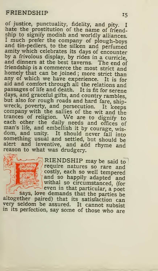of justice, punctuality, fidelity, and pity. <sup>I</sup> hate the prostitution of the name of friendship to signify modish and worldly alliances. <sup>I</sup> much prefer the company of plough-boys and tin-pedlers, to the silken and perfumed amity which celebrates its days of encounter by a frivolous display, by rides in a curricle and dinners at the best taverns. The end of friendship is a commerce the most strict and homely that can be joined ; more strict than any of which we have experience. It is for aid and comfort through all the relations and passages of life and death. It is fit for serene days, and graceful gifts, and country rambles, but also for rough roads and hard fare, shipwreck, poverty, and persecution. It keeps company with the sallies of the wit and the trances of religion. We are to dignify to each other the daily needs and offices of man's life, and embellish it by courage, wisdom, and unity. It should never fall' into something usual and settled, but should be alert and inventive, and add rhyme and reason to what was drudgery.



RIENDSHIP may be said to require natures so rare and costly, each so well tempered and so happily adapted and ) withal so circumstanced, (for even in that particular, a poet

says, love demands that the parties be altogether paired) that its satisfaction can very seldom be assured. It cannot subsist in its perfection, say some of those who are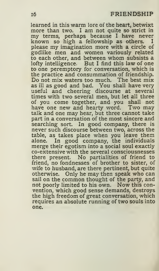learned in this warm lore of the heart, betwixt more than two. <sup>I</sup> am not quite so strict in my terms, perhaps because <sup>I</sup> have never known so high <sup>a</sup> fellowship as others. <sup>I</sup> please my imagination more with a circle of godlike men and women variously related to each other, and between whom subsists a lofty intelligence. But <sup>I</sup> find this law of one to one peremptory for conversation, which is the practice and consummation of friendship. Do not mix waters too much. The best mix as ill as good and bad. You shall have very useful and cheering discourse at several times with two several men, but let all three of you come together, and you shall not have one new and hearty word. Two may talk and one may hear, but three cannot take part in a conversation of the most sincere and searching sort. In good company, there is never such discourse between two, across the table, as takes place when you leave them alone. In good company, the individuals merge their egotism into a social soul exactly co-extensive with the several consciousnesses there present. No partialities of friend to friend, no fondnesses of brother to sister, of wife to husband, are there pertinent, but quite otherwise. Only he may then speak who can sail on the common thought of the party, and not poorly limited to his own. Now this convention, which good sense demands, destroys the high freedom of great conversation, which requires an absolute running of two souls into one.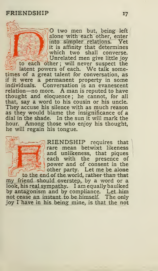^^jO two men but, being left alone with each other, enter into simpler relations. Yet it is affinity that determines which two shall converse.

Unrelated men give little joy to each other; will never suspect the latent powers of each. We talk sometimes of a great talent for conversation, as if it were a permanent property in some Conversation is an evanescent relation—no more. A man is reputed to have thought and eloquence ; he cannot, for all that, say a word to his cousin or his uncle. They accuse his silence with as much reason as they would blame the insignificance of a dial in the shade. In the sun it will mark the hour. Among those who enjoy his thought, he will regain his tongue.



RIENDSHIP requires that rare mean betwixt likeness and unlikeness, that piques each with the presence of power and of consent in the other party. Let me be alone

to the end of the world, rather than that my friend should overstep, by a word or a look, his real sympathy, <sup>I</sup> am equally baulked by antagonism and by compliance. Let him not cease an instant to be himself. The only joy <sup>I</sup> have in his being mine, is that the not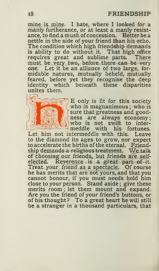mine is mine. <sup>I</sup> hate, where <sup>I</sup> looked for <sup>a</sup> manly furtherance, or at least <sup>a</sup> manly resist ance, to find a mush of concession. Better be a nettle in the side of your friend than his echo. The condition which high friendship demands is ability to do without it. That high office requires great and sublime parts. There must be very two, before there can be very one. Let it be an alliance of two large, for midable natures, mutually beheld, mutually feared, before yet they recognise the deep identity which beneath these disparities unites them.



E only is fit for this society  $\left(\begin{array}{c}\text{who is magnanimous; who is}\end{array}\right)$  (sure that greatness and goodwho is magnanimous; who is  $\bigotimes_{k}$   $\bigotimes_{k}$  (c) who is not swift to inter $medde$  with his fortunes.

Let him not intermeddle with this. Leave to the diamond its ages to grow, nor expect to accelerate the births of the eternal. Friendship demands <sup>a</sup> religious treatment. We talk of choosing our friends, but friends are self elected. Reverence is a great part of it. Treat your friend as a spectacle. Of course he has merits that are not yours, and that you cannot honour, if you must needs hold him close to your person. Stand aside ; give these merits room ; let them mount and expand. Are you the friend of your friend's buttons, or of his thought ? To a great heart he will still be a stranger in a thousand particulars, that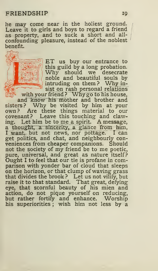#### FRIENDSHIP 19

he may come near in the holiest ground. Leave it to girls and boys to regard a friend as property, and to suck a short and all confounding pleasure, instead of the noblest benefit.

ET us buy our entrance to this guild by a long probation. Why should we desecrate noble and beautiful souls by intruding on them ? Why in sist on rash personal relations

with your friend ? Why go to his house, and know his mother and brother and sisters? Why be visited by him at your own? Are these things material to our covenant? Leave this touching and clawing. Let him be to me a spirit. A message, a thought, a sincerity, a glance from him, I want, but not news, nor pottage. <sup>I</sup> can get politics, and chat, and neighbourly con veniences from cheaper companions. Should not the society of my friend be to me poetic, pure, universal, and great as nature itself? Ought <sup>I</sup> to feel that our tie is profane in comparison with yonder bar of cloud that sleeps on the horizon, or that clump of waving grass that divides the brook ? Let us not vilify, but raise it to that standard. That great, defying eye, that scornful beauty of his mien and action, do not pique yourself on reducing, but rather fortify and enhance. Worship his superiorities; wish him not less by a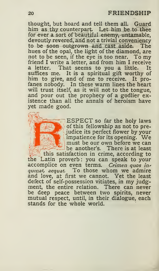thought, but hoard and tell them all. Guard him as thy counterpart. Let him be to thee for ever a sort of beautiful enemy, untamable, devoutly revered, and not a trivial conveniency to be soon outgrown and cast aside. The hues of the opal, the light of the diamond, are not to be seen, if the eye is too near. To my friend <sup>I</sup> write a letter, and from him <sup>I</sup> receive a letter. That seems to you a little. It suffices me. It is a spiritual gift worthy of him to give, and of me to receive. It profanes nobody. In these warm lines the heart will trust itself, as it will not to the tongue, and pour out the prophecy of a godlier existence than all the annals of heroism have yet made good.



ESPECT so far the holy laws of this fellowship as not to prejudice its perfect flower by your impatience for its opening. We<br>must be our own before we can be another's. There is at least

this satisfaction in crime, according to the Latin proverb : you can speak to your accomplice on even terms. Crimen quos inquinat, aequat. To those whom we admire and love, at first we cannot. Yet the least defect of self-possession vitiates, in my judgment, the entire relation. There can never be deep peace between two spirits, never mutual respect, until, in their dialogue, each stands for the whole world.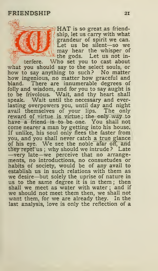HAT is so great as friendship, let us carry with what grandeur of spirit we can. Let us be silent—so we may hear the whisper of

the gods. Let us not in-<br>terfere. Who set you to cast about Who set you to cast about what you should say to the select souls, or how to say anything to such? No matter how ingenious, no matter how graceful and bland. There are innumerable degrees of folly and wisdom, and for you to say aught is to be frivolous. Wait, and thy heart shall speak. Wait until the necessary and everlasting overpowers you, until day and night avail themselves of your lips. The only reward of virtue is virtue ; the only way to have a friend is to be one. You shall not come nearer a man by getting into his house. If unlike, his soul only flees the faster from you, and you shall never catch a true glance of his eye. We see the noble afar off, and<br>they repel us; why should we intrude? Late -very late—we perceive that no arrangements, no introductions, no consuetudes or habits of society, would be of any avail to establish us in such relations with them as we desire—but solely the uprise of nature in us to the same degree it is in them; then shall we meet as water with water; and if we should not meet them then, we shall not want them, for we are already they. In the last analysis, love is only the reflection of a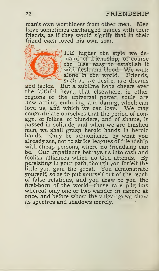man's own worthiness from other men. Men have sometimes exchanged names with their friends, as if they would signify that in their friend each loved his own soul.



HE higher the style we de mand of friendship, of course , the less easy to establish it with flesh and blood. We walk<br>alone in the world. Friends. alone in the world. such as we desire, are dreams

and fables. But a sublime hope cheers ever the faithful heart, that elsewhere, in other<br>regions of the universal power, souls are now acting, enduring, and daring, which can love us, and which we can love. We may congratulate ourselves that the period of nonage, of follies, of blunders, and of shame, is passed in solitude, and when we are finished men, we shall grasp heroic hands in heroic hands. Only be admonished by what you already see, not to strike leagues of friendship with cheap persons, where no friendship can be. Our impatience betrays us into rash and foolish alliances which no God attends. By persisting in your path, though you forfeit the little you gain the great. You demonstrate yourself, so as to put yourself out of the reach of false relations, and you draw to you the first-born of the world—those rare pilgrims whereof only one or two wander in nature at once, and before whom the vulgar great show as spectres and shadows merely.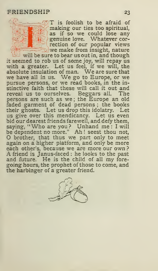

T is foolish to be afraid of making our ties too spiritual, as if so we could lose any<br>genuine love. Whatever cor- $\mathbb{Z}^{\otimes n}$  genuine love. Whatever cor- rection of our popular views  $\frac{1}{2}$  we make from insight, nature

will be sure to bear us out in, and though it seemed to rob us of some joy, will repay us with a greater. Let us feel, if we will, the absolute insulation of man. We aresure that we have all in us. We go to Europe, or we pursue persons, or we read books, in the in stinctive faith that these will call it out and reveal us to ourselves. Beggars all. The persons are such as we ; the Europe an old faded garment of dead persons ; the books their ghosts. Let us drop this idolatry. Let us give over this mendicancy. Let us even bid our dearest friends farewell, and defy them, saying, "Who are you? Unhand me: I will be dependent no more." Ah! seest thou not, O brother, that thus we part only to meet again on a higher platform, and only be more<br>each other's, because we are more our own? A friend is Janus-faced : he looks to the past and future. He is the child of all my foregoing hours, the prophet of those to come, and the harbinger of a greater friend.

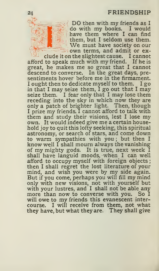DO then with my friends as I<br>do with my books. I would have them where <sup>I</sup> can find them, but <sup>I</sup> seldom use them. We must have society on our  $\mathbb{R}$  own terms, and admit or ex-

clude it on the slightest cause. <sup>I</sup> cannot afford to speak much with my friend. If he is great, he makes me so great that <sup>I</sup> cannot descend to converse. In the great days, presentiments hover before me in the firmament. <sup>I</sup> ought then to dedicate myself to them. <sup>I</sup> go in that <sup>I</sup>may seize them, <sup>I</sup> go out that <sup>I</sup>may seize them, <sup>I</sup> fear only that <sup>I</sup> may lose them receding into the sky in which now they are only a patch of brighter light. Then, though <sup>I</sup> prize my friends, <sup>I</sup> cannot afford to talk with them and study their visions, lest <sup>I</sup> lose my own. It would indeed give me a certain household joy to quit this lofty seeking, this spiritual astronomy, or search of stars, and come down to warm sympathies with you; but then I<br>know well I shall mourn always the vanishing of my mighty gods. It is true, next week <sup>I</sup> shall have languid moods, when <sup>I</sup> can well afford to occupy myself with foreign objects ; then <sup>I</sup> shall regret the lost literature of your mind, and wish you were by my side again. But if you come, perhaps you will fill my mind only with new visions, not with yourself but with your lustres, and I shall not be able any more than now to converse with you. So <sup>I</sup> will owe to my friends this evanescent inter course. <sup>I</sup> will receive from them, not what they have, but what they are. They shall give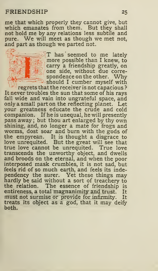me that which properly they cannot give, but which emanates from them. But they shall not hold me by any relations less subtile and pure. We will meet as though we met not, and part as though we parted not.

> T has seemed to me lately more possible than <sup>I</sup> knew, to carry a friendship greatly, on one side, without due corre spondence on the other. Why should <sup>I</sup> cumber myself with

regrets that the receiver is not capacious ? It never troubles the sun that some of his rays fall wide and vain into ungrateful space, and only a small part on the reflecting planet. Let your greatness educate the crude and cold companion. If he is unequal, he will presently pass away ; but thou art enlarged by thy own shining, and, no longer a mate for frogs and worms, dost soar and burn with the gods of the empyrean. It is thought a disgrace to love unrequited. But the great will see that true love cannot be unrequited. True love transcends the unworthy object, and dwells and broods on the eternal, and when the poor interposed mask crumbles, it is not sad, but feels rid of so much earth, and feels its independency the surer. Yet these things may hardly be said without a sort of treachery to the relation. The essence of friendship is<br>entireness, a total magnanimity and trust. It must not surmise or provide for infirmity. It treats its object as a god, that it may deify both.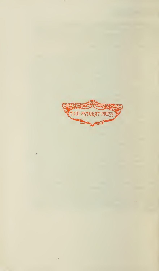

 $\sim$